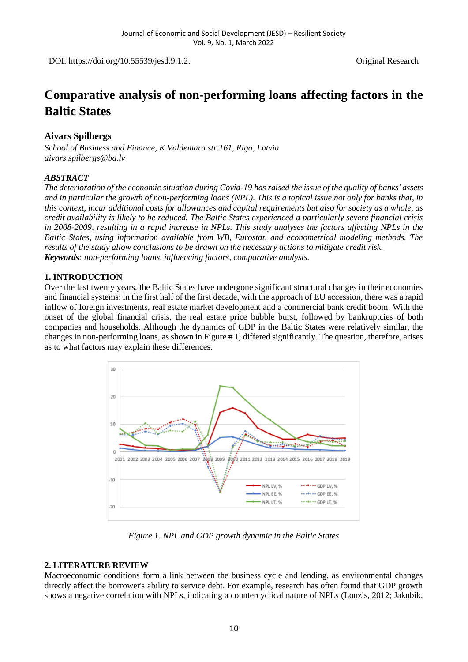DOI: https://doi.org/10.55539/jesd.9.1.2. Original Research

# **Comparative analysis of non-performing loans affecting factors in the Baltic States**

# **Aivars Spilbergs**

*School of Business and Finance, K.Valdemara str.161, Riga, Latvia [aivars.spilbergs@ba.lv](mailto:aivars.spilbergs@ba.lv)*

## *ABSTRACT*

*The deterioration of the economic situation during Covid-19 has raised the issue of the quality of banks' assets and in particular the growth of non-performing loans (NPL). This is a topical issue not only for banks that, in this context, incur additional costs for allowances and capital requirements but also for society as a whole, as credit availability is likely to be reduced. The Baltic States experienced a particularly severe financial crisis in 2008-2009, resulting in a rapid increase in NPLs. This study analyses the factors affecting NPLs in the Baltic States, using information available from WB, Eurostat, and econometrical modeling methods. The results of the study allow conclusions to be drawn on the necessary actions to mitigate credit risk. Keywords: non-performing loans, influencing factors, comparative analysis.*

## **1. INTRODUCTION**

Over the last twenty years, the Baltic States have undergone significant structural changes in their economies and financial systems: in the first half of the first decade, with the approach of EU accession, there was a rapid inflow of foreign investments, real estate market development and a commercial bank credit boom. With the onset of the global financial crisis, the real estate price bubble burst, followed by bankruptcies of both companies and households. Although the dynamics of GDP in the Baltic States were relatively similar, the changes in non-performing loans, as shown in Figure # 1, differed significantly. The question, therefore, arises as to what factors may explain these differences.



*Figure 1. NPL and GDP growth dynamic in the Baltic States*

# **2. LITERATURE REVIEW**

Macroeconomic conditions form a link between the business cycle and lending, as environmental changes directly affect the borrower's ability to service debt. For example, research has often found that GDP growth shows a negative correlation with NPLs, indicating a countercyclical nature of NPLs (Louzis, 2012; Jakubik,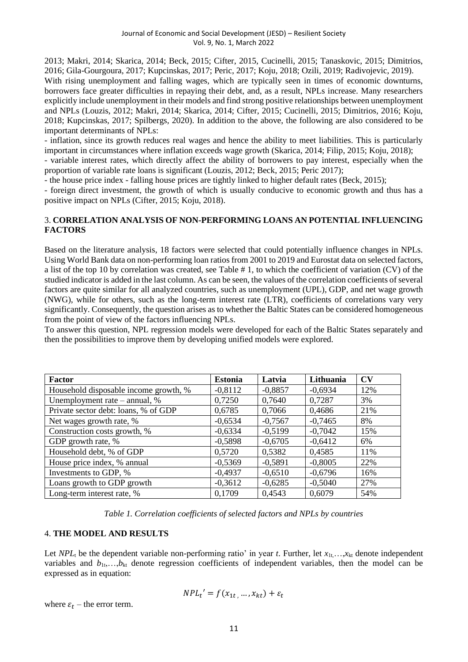2013; Makri, 2014; Skarica, 2014; Beck, 2015; Cifter, 2015, Cucinelli, 2015; Tanaskovic, 2015; Dimitrios, 2016; Gila-Gourgoura, 2017; Kupcinskas, 2017; Peric, 2017; Koju, 2018; Ozili, 2019; Radivojevic, 2019). With rising unemployment and falling wages, which are typically seen in times of economic downturns, borrowers face greater difficulties in repaying their debt, and, as a result, NPLs increase. Many researchers explicitly include unemployment in their models and find strong positive relationships between unemployment and NPLs (Louzis, 2012; Makri, 2014; Skarica, 2014; Cifter, 2015; Cucinelli, 2015; Dimitrios, 2016; Koju, 2018; Kupcinskas, 2017; Spilbergs, 2020). In addition to the above, the following are also considered to be important determinants of NPLs:

- inflation, since its growth reduces real wages and hence the ability to meet liabilities. This is particularly important in circumstances where inflation exceeds wage growth (Skarica, 2014; Filip, 2015; Koju, 2018);

- variable interest rates, which directly affect the ability of borrowers to pay interest, especially when the proportion of variable rate loans is significant (Louzis, 2012; Beck, 2015; Peric 2017);

- the house price index - falling house prices are tightly linked to higher default rates (Beck, 2015);

- foreign direct investment, the growth of which is usually conducive to economic growth and thus has a positive impact on NPLs (Cifter, 2015; Koju, 2018).

## 3. **CORRELATION ANALYSIS OF NON-PERFORMING LOANS AN POTENTIAL INFLUENCING FACTORS**

Based on the literature analysis, 18 factors were selected that could potentially influence changes in NPLs. Using World Bank data on non-performing loan ratios from 2001 to 2019 and Eurostat data on selected factors, a list of the top 10 by correlation was created, see Table # 1, to which the coefficient of variation (CV) of the studied indicator is added in the last column. As can be seen, the values of the correlation coefficients of several factors are quite similar for all analyzed countries, such as unemployment (UPL), GDP, and net wage growth (NWG), while for others, such as the long-term interest rate (LTR), coefficients of correlations vary very significantly. Consequently, the question arises as to whether the Baltic States can be considered homogeneous from the point of view of the factors influencing NPLs.

To answer this question, NPL regression models were developed for each of the Baltic States separately and then the possibilities to improve them by developing unified models were explored.

| Factor                                | <b>Estonia</b> | Latvia    | Lithuania | $\mathbf{C}\mathbf{V}$ |
|---------------------------------------|----------------|-----------|-----------|------------------------|
| Household disposable income growth, % | $-0,8112$      | $-0,8857$ | $-0,6934$ | 12%                    |
| Unemployment rate $-$ annual, $%$     | 0,7250         | 0,7640    | 0,7287    | 3%                     |
| Private sector debt: loans, % of GDP  | 0,6785         | 0,7066    | 0,4686    | 21%                    |
| Net wages growth rate, %              | $-0,6534$      | $-0,7567$ | $-0,7465$ | 8%                     |
| Construction costs growth, %          | $-0,6334$      | $-0,5199$ | $-0,7042$ | 15%                    |
| GDP growth rate, %                    | $-0,5898$      | $-0,6705$ | $-0,6412$ | 6%                     |
| Household debt, % of GDP              | 0,5720         | 0,5382    | 0,4585    | 11%                    |
| House price index, % annual           | $-0,5369$      | $-0,5891$ | $-0,8005$ | 22%                    |
| Investments to GDP, %                 | $-0,4937$      | $-0,6510$ | $-0,6796$ | 16%                    |
| Loans growth to GDP growth            | $-0,3612$      | $-0,6285$ | $-0,5040$ | 27%                    |
| Long-term interest rate, %            | 0,1709         | 0,4543    | 0,6079    | 54%                    |

*Table 1. Correlation coefficients of selected factors and NPLs by countries*

## 4. **THE MODEL AND RESULTS**

Let  $NPL<sub>t</sub>$  be the dependent variable non-performing ratio' in year *t*. Further, let  $x<sub>1t</sub>,...,x<sub>kt</sub>$  denote independent variables and  $b_{1t},...,b_{kt}$  denote regression coefficients of independent variables, then the model can be expressed as in equation:

$$
NPL_t' = f(x_{1t}, ..., x_{kt}) + \varepsilon_t
$$

where  $\varepsilon_t$  – the error term.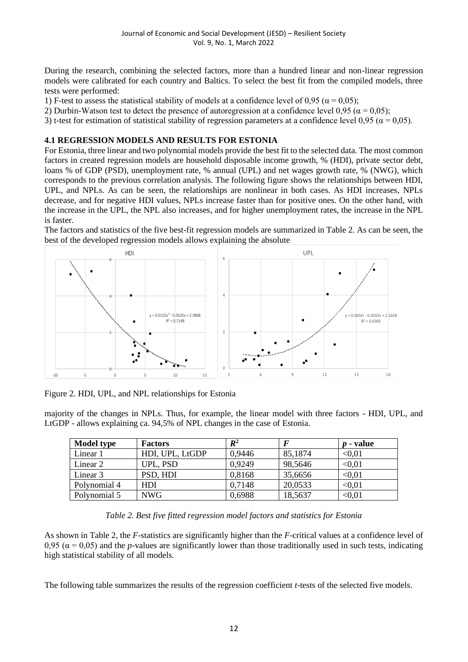During the research, combining the selected factors, more than a hundred linear and non-linear regression models were calibrated for each country and Baltics. To select the best fit from the compiled models, three tests were performed:

1) F-test to assess the statistical stability of models at a confidence level of 0,95 ( $\alpha$  = 0,05);

2) Durbin-Watson test to detect the presence of autoregression at a confidence level 0,95 ( $\alpha$  = 0,05);

3) t-test for estimation of statistical stability of regression parameters at a confidence level 0,95 ( $\alpha$  = 0,05).

## **4.1 REGRESSION MODELS AND RESULTS FOR ESTONIA**

For Estonia, three linear and two polynomial models provide the best fit to the selected data. The most common factors in created regression models are household disposable income growth, % (HDI), private sector debt, loans % of GDP (PSD), unemployment rate, % annual (UPL) and net wages growth rate, % (NWG), which corresponds to the previous correlation analysis. The following figure shows the relationships between HDI, UPL, and NPLs. As can be seen, the relationships are nonlinear in both cases. As HDI increases, NPLs decrease, and for negative HDI values, NPLs increase faster than for positive ones. On the other hand, with the increase in the UPL, the NPL also increases, and for higher unemployment rates, the increase in the NPL is faster.

The factors and statistics of the five best-fit regression models are summarized in Table 2. As can be seen, the best of the developed regression models allows explaining the absolute



Figure 2. HDI, UPL, and NPL relationships for Estonia

majority of the changes in NPLs. Thus, for example, the linear model with three factors - HDI, UPL, and LtGDP - allows explaining ca. 94,5% of NPL changes in the case of Estonia.

| <b>Model type</b> | <b>Factors</b>  | $I\!\!R^2$ |         | - value<br>$\boldsymbol{n}$ |
|-------------------|-----------------|------------|---------|-----------------------------|
| Linear 1          | HDI, UPL, LtGDP | 0,9446     | 85,1874 | < 0.01                      |
| Linear 2          | UPL, PSD        | 0,9249     | 98,5646 | < 0.01                      |
| Linear 3          | PSD, HDI        | 0,8168     | 35,6656 | < 0.01                      |
| Polynomial 4      | <b>HDI</b>      | 0.7148     | 20,0533 | < 0.01                      |
| Polynomial 5      | <b>NWG</b>      | 0.6988     | 18,5637 | < 0.01                      |

*Table 2. Best five fitted regression model factors and statistics for Estonia*

As shown in Table 2, the *F*-statistics are significantly higher than the *F*-critical values at a confidence level of 0,95 ( $\alpha$  = 0,05) and the *p*-values are significantly lower than those traditionally used in such tests, indicating high statistical stability of all models.

The following table summarizes the results of the regression coefficient *t*-tests of the selected five models.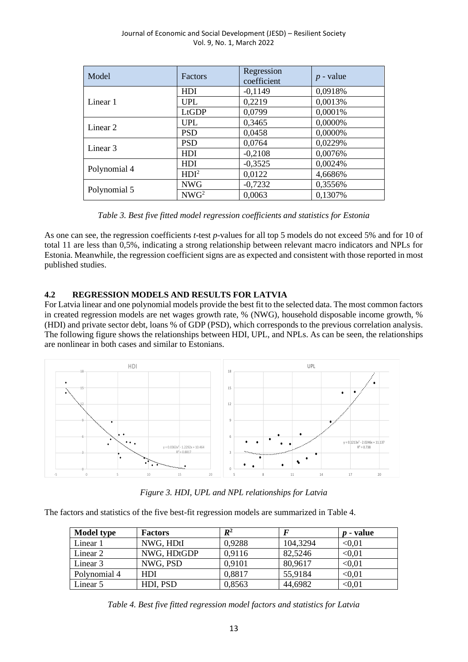| Model               | Factors          | Regression<br>coefficient | $p$ - value |
|---------------------|------------------|---------------------------|-------------|
|                     | <b>HDI</b>       | $-0,1149$                 | 0,0918%     |
| Linear 1            | <b>UPL</b>       | 0,2219                    | 0,0013%     |
|                     | LtGDP            | 0,0799                    | 0,0001%     |
|                     | UPL              | 0,3465                    | 0,0000%     |
| Linear 2            | <b>PSD</b>       | 0,0458                    | 0,0000%     |
| Linear <sub>3</sub> | <b>PSD</b>       | 0,0764                    | 0,0229%     |
|                     | <b>HDI</b>       | $-0,2108$                 | 0,0076%     |
|                     | <b>HDI</b>       | $-0,3525$                 | 0,0024%     |
| Polynomial 4        | HDI <sup>2</sup> | 0,0122                    | 4,6686%     |
| Polynomial 5        | <b>NWG</b>       | $-0,7232$                 | 0,3556%     |
|                     | NWG <sup>2</sup> | 0,0063                    | 0,1307%     |

*Table 3. Best five fitted model regression coefficients and statistics for Estonia*

As one can see, the regression coefficients *t*-test *p*-values for all top 5 models do not exceed 5% and for 10 of total 11 are less than 0,5%, indicating a strong relationship between relevant macro indicators and NPLs for Estonia. Meanwhile, the regression coefficient signs are as expected and consistent with those reported in most published studies.

# **4.2 REGRESSION MODELS AND RESULTS FOR LATVIA**

For Latvia linear and one polynomial models provide the best fit to the selected data. The most common factors in created regression models are net wages growth rate, % (NWG), household disposable income growth, % (HDI) and private sector debt, loans % of GDP (PSD), which corresponds to the previous correlation analysis. The following figure shows the relationships between HDI, UPL, and NPLs. As can be seen, the relationships are nonlinear in both cases and similar to Estonians.



*Figure 3. HDI, UPL and NPL relationships for Latvia*

The factors and statistics of the five best-fit regression models are summarized in Table 4.

| <b>Model type</b> | <b>Factors</b> | $I\!\!R^2$ |          | $p$ - value |
|-------------------|----------------|------------|----------|-------------|
| Linear 1          | NWG, HDtI      | 0,9288     | 104,3294 | < 0.01      |
| Linear 2          | NWG, HDtGDP    | 0.9116     | 82,5246  | < 0.01      |
| Linear 3          | NWG, PSD       | 0.9101     | 80,9617  | < 0.01      |
| Polynomial 4      | <b>HDI</b>     | 0,8817     | 55,9184  | < 0.01      |
| Linear 5          | HDI, PSD       | 0,8563     | 44,6982  | < 0.01      |

*Table 4. Best five fitted regression model factors and statistics for Latvia*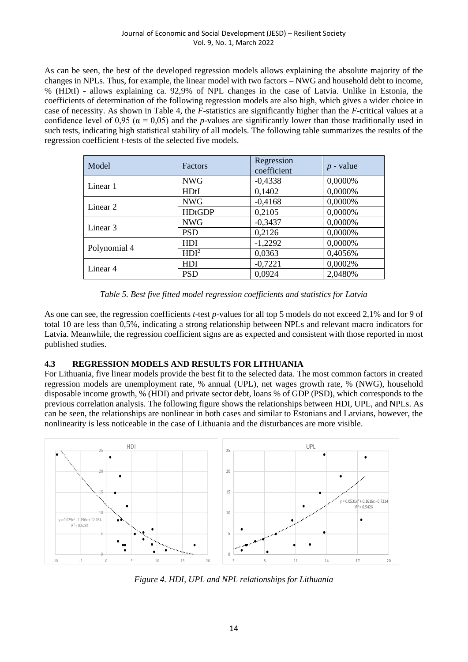#### Journal of Economic and Social Development (JESD) – Resilient Society Vol. 9, No. 1, March 2022

As can be seen, the best of the developed regression models allows explaining the absolute majority of the changes in NPLs. Thus, for example, the linear model with two factors – NWG and household debt to income, % (HDtI) - allows explaining ca. 92,9% of NPL changes in the case of Latvia. Unlike in Estonia, the coefficients of determination of the following regression models are also high, which gives a wider choice in case of necessity. As shown in Table 4, the *F*-statistics are significantly higher than the *F*-critical values at a confidence level of 0,95 ( $\alpha$  = 0,05) and the *p*-values are significantly lower than those traditionally used in such tests, indicating high statistical stability of all models. The following table summarizes the results of the regression coefficient *t*-tests of the selected five models.

| Model        | Factors          | Regression<br>coefficient | $p$ - value |
|--------------|------------------|---------------------------|-------------|
|              | <b>NWG</b>       | $-0,4338$                 | 0,0000%     |
| Linear 1     | <b>HDtI</b>      | 0,1402                    | 0,0000%     |
| Linear 2     | <b>NWG</b>       | $-0,4168$                 | 0,0000%     |
|              | <b>HDtGDP</b>    | 0,2105                    | 0,0000%     |
|              | <b>NWG</b>       | $-0,3437$                 | 0,0000%     |
| Linear 3     | <b>PSD</b>       | 0,2126                    | 0,0000%     |
| Polynomial 4 | <b>HDI</b>       | $-1,2292$                 | 0,0000%     |
|              | HDI <sup>2</sup> | 0,0363                    | 0,4056%     |
| Linear 4     | <b>HDI</b>       | $-0,7221$                 | 0,0002%     |
|              | <b>PSD</b>       | 0,0924                    | 2,0480%     |

*Table 5. Best five fitted model regression coefficients and statistics for Latvia*

As one can see, the regression coefficients *t*-test *p*-values for all top 5 models do not exceed 2,1% and for 9 of total 10 are less than 0,5%, indicating a strong relationship between NPLs and relevant macro indicators for Latvia. Meanwhile, the regression coefficient signs are as expected and consistent with those reported in most published studies.

# **4.3 REGRESSION MODELS AND RESULTS FOR LITHUANIA**

For Lithuania, five linear models provide the best fit to the selected data. The most common factors in created regression models are unemployment rate, % annual (UPL), net wages growth rate, % (NWG), household disposable income growth, % (HDI) and private sector debt, loans % of GDP (PSD), which corresponds to the previous correlation analysis. The following figure shows the relationships between HDI, UPL, and NPLs. As can be seen, the relationships are nonlinear in both cases and similar to Estonians and Latvians, however, the nonlinearity is less noticeable in the case of Lithuania and the disturbances are more visible.



*Figure 4. HDI, UPL and NPL relationships for Lithuania*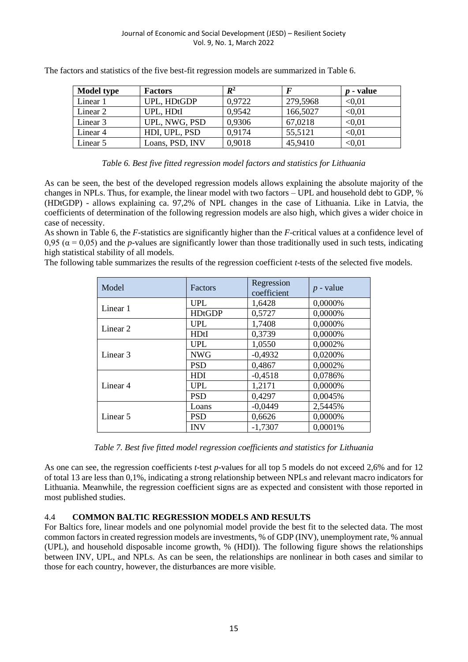| <b>Model type</b> | <b>Factors</b>  | $\mathbb{R}^2$ |          | <i>p</i> - value |
|-------------------|-----------------|----------------|----------|------------------|
| Linear 1          | UPL, HDtGDP     | 0,9722         | 279,5968 | < 0.01           |
| Linear 2          | UPL, HDtI       | 0.9542         | 166,5027 | < 0.01           |
| Linear 3          | UPL, NWG, PSD   | 0,9306         | 67,0218  | < 0.01           |
| Linear 4          | HDI, UPL, PSD   | 0.9174         | 55,5121  | < 0.01           |
| Linear 5          | Loans, PSD, INV | 0,9018         | 45,9410  | < 0.01           |

The factors and statistics of the five best-fit regression models are summarized in Table 6.

## *Table 6. Best five fitted regression model factors and statistics for Lithuania*

As can be seen, the best of the developed regression models allows explaining the absolute majority of the changes in NPLs. Thus, for example, the linear model with two factors – UPL and household debt to GDP, % (HDtGDP) - allows explaining ca. 97,2% of NPL changes in the case of Lithuania. Like in Latvia, the coefficients of determination of the following regression models are also high, which gives a wider choice in case of necessity.

As shown in Table 6, the *F*-statistics are significantly higher than the *F*-critical values at a confidence level of 0,95 ( $\alpha$  = 0,05) and the *p*-values are significantly lower than those traditionally used in such tests, indicating high statistical stability of all models.

The following table summarizes the results of the regression coefficient *t*-tests of the selected five models.

| Model               | Factors       | Regression<br>coefficient | $p$ - value |
|---------------------|---------------|---------------------------|-------------|
|                     | <b>UPL</b>    | 1,6428                    | 0,0000%     |
| Linear 1            | <b>HDtGDP</b> | 0,5727                    | 0,0000%     |
| Linear 2            | <b>UPL</b>    | 1,7408                    | 0,0000%     |
|                     | <b>HDtI</b>   | 0,3739                    | 0,0000%     |
|                     | <b>UPL</b>    | 1,0550                    | 0,0002%     |
| Linear <sub>3</sub> | <b>NWG</b>    | $-0,4932$                 | 0.0200%     |
|                     | <b>PSD</b>    | 0,4867                    | 0,0002%     |
|                     | <b>HDI</b>    | $-0.4518$                 | 0.0786%     |
| Linear 4            | <b>UPL</b>    | 1,2171                    | 0,0000%     |
|                     | <b>PSD</b>    | 0,4297                    | 0,0045%     |
| Linear 5            | Loans         | $-0.0449$                 | 2,5445%     |
|                     | <b>PSD</b>    | 0,6626                    | 0,0000%     |
|                     | <b>INV</b>    | $-1,7307$                 | 0.0001%     |

*Table 7. Best five fitted model regression coefficients and statistics for Lithuania*

As one can see, the regression coefficients *t*-test *p*-values for all top 5 models do not exceed 2,6% and for 12 of total 13 are less than 0,1%, indicating a strong relationship between NPLs and relevant macro indicators for Lithuania. Meanwhile, the regression coefficient signs are as expected and consistent with those reported in most published studies.

# 4.4 **COMMON BALTIC REGRESSION MODELS AND RESULTS**

For Baltics fore, linear models and one polynomial model provide the best fit to the selected data. The most common factors in created regression models are investments, % of GDP (INV), unemployment rate, % annual (UPL), and household disposable income growth, % (HDI)). The following figure shows the relationships between INV, UPL, and NPLs. As can be seen, the relationships are nonlinear in both cases and similar to those for each country, however, the disturbances are more visible.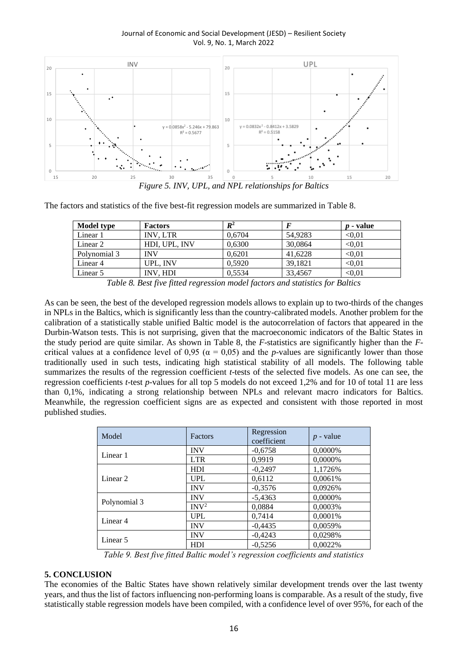Journal of Economic and Social Development (JESD) – Resilient Society Vol. 9, No. 1, March 2022



*Figure 5. INV, UPL, and NPL relationships for Baltics*

The factors and statistics of the five best-fit regression models are summarized in Table 8.

| Model type   | <b>Factors</b>  | $\mathbb{R}^2$ |         | <i>p</i> - value |
|--------------|-----------------|----------------|---------|------------------|
| Linear 1     | <b>INV. LTR</b> | 0,6704         | 54.9283 | < 0.01           |
| Linear 2     | HDI, UPL, INV   | 0,6300         | 30,0864 | < 0.01           |
| Polynomial 3 | INV             | 0.6201         | 41.6228 | < 0.01           |
| Linear 4     | UPL. INV        | 0.5920         | 39,1821 | < 0.01           |
| Linear 5     | INV. HDI        | 0.5534         | 33,4567 | $<$ 0.01         |

*Table 8. Best five fitted regression model factors and statistics for Baltics*

As can be seen, the best of the developed regression models allows to explain up to two-thirds of the changes in NPLs in the Baltics, which is significantly less than the country-calibrated models. Another problem for the calibration of a statistically stable unified Baltic model is the autocorrelation of factors that appeared in the Durbin-Watson tests. This is not surprising, given that the macroeconomic indicators of the Baltic States in the study period are quite similar. As shown in Table 8, the *F*-statistics are significantly higher than the *F*critical values at a confidence level of 0,95 ( $\alpha$  = 0,05) and the *p*-values are significantly lower than those traditionally used in such tests, indicating high statistical stability of all models. The following table summarizes the results of the regression coefficient *t*-tests of the selected five models. As one can see, the regression coefficients *t*-test *p*-values for all top 5 models do not exceed 1,2% and for 10 of total 11 are less than 0,1%, indicating a strong relationship between NPLs and relevant macro indicators for Baltics. Meanwhile, the regression coefficient signs are as expected and consistent with those reported in most published studies.

| Model        | Factors             | Regression<br>coefficient | $p$ - value |
|--------------|---------------------|---------------------------|-------------|
|              | <b>INV</b>          | $-0,6758$                 | 0,0000%     |
| Linear 1     | <b>LTR</b>          | 0,9919                    | 0,0000%     |
| Linear 2     | HDI                 | $-0,2497$                 | 1,1726%     |
|              | <b>UPL</b>          | 0,6112                    | 0,0061%     |
|              | <b>INV</b>          | $-0,3576$                 | 0,0926%     |
|              | <b>INV</b>          | $-5,4363$                 | 0,0000%     |
| Polynomial 3 | INV <sup>2</sup>    | 0.0884                    | 0.0003%     |
| Linear 4     | <b>UPL</b>          | 0,7414                    | 0,0001%     |
|              | <b>INV</b>          | $-0.4435$                 | 0,0059%     |
| Linear 5     | <b>INV</b>          | $-0,4243$                 | 0,0298%     |
|              | <b>HDI</b><br>- - - | $-0,5256$<br>$\sim$       | 0,0022%     |

*Table 9. Best five fitted Baltic model's regression coefficients and statistics*

## **5. CONCLUSION**

The economies of the Baltic States have shown relatively similar development trends over the last twenty years, and thus the list of factors influencing non-performing loans is comparable. As a result of the study, five statistically stable regression models have been compiled, with a confidence level of over 95%, for each of the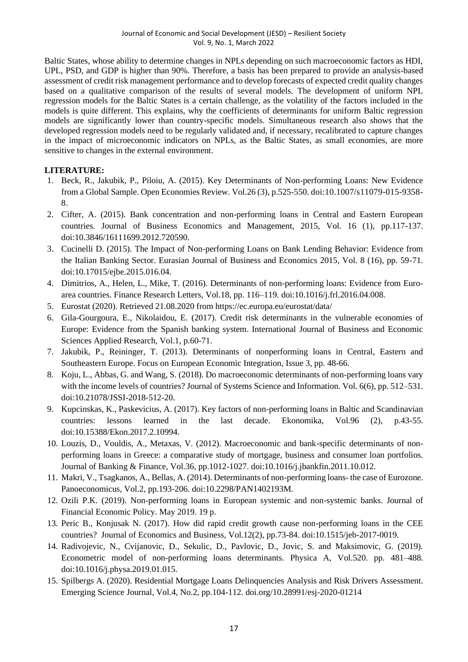Baltic States, whose ability to determine changes in NPLs depending on such macroeconomic factors as HDI, UPL, PSD, and GDP is higher than 90%. Therefore, a basis has been prepared to provide an analysis-based assessment of credit risk management performance and to develop forecasts of expected credit quality changes based on a qualitative comparison of the results of several models. The development of uniform NPL regression models for the Baltic States is a certain challenge, as the volatility of the factors included in the models is quite different. This explains, why the coefficients of determinants for uniform Baltic regression models are significantly lower than country-specific models. Simultaneous research also shows that the developed regression models need to be regularly validated and, if necessary, recalibrated to capture changes in the impact of microeconomic indicators on NPLs, as the Baltic States, as small economies, are more sensitive to changes in the external environment.

# **LITERATURE:**

- 1. Beck, R., Jakubik, P., Piloiu, A. (2015). Key Determinants of Non-performing Loans: New Evidence from a Global Sample. Open Economies Review. Vol.26 (3), p.525-550. doi:10.1007/s11079-015-9358- 8.
- 2. Cifter, A. (2015). Bank concentration and non-performing loans in Central and Eastern European countries. Journal of Business Economics and Management, 2015, Vol. 16 (1), pp.117-137. doi:10.3846/16111699.2012.720590.
- 3. Cucinelli D. (2015). The Impact of Non-performing Loans on Bank Lending Behavior: Evidence from the Italian Banking Sector. Eurasian Journal of Business and Economics 2015, Vol. 8 (16), pp. 59-71. doi:10.17015/ejbe.2015.016.04.
- 4. Dimitrios, A., Helen, L., Mike, T. (2016). Determinants of non-performing loans: Evidence from Euroarea countries. Finance Research Letters, Vol.18, pp. 116–119. doi:10.1016/j.frl.2016.04.008.
- 5. Eurostat (2020). Retrieved 21.08.2020 from https://ec.europa.eu/eurostat/data/
- 6. Gila-Gourgoura, E., Nikolaidou, E. (2017). Credit risk determinants in the vulnerable economies of Europe: Evidence from the Spanish banking system. International Journal of Business and Economic Sciences Applied Research, Vol.1, p.60-71.
- 7. Jakubik, P., Reininger, T. (2013). Determinants of nonperforming loans in Central, Eastern and Southeastern Europe. Focus on European Economic Integration, Issue 3, pp. 48-66.
- 8. Koju, L., Abbas, G. and Wang, S. (2018). Do macroeconomic determinants of non-performing loans vary with the income levels of countries? Journal of Systems Science and Information. Vol. 6(6), pp. 512–531. doi:10.21078/JSSI-2018-512-20.
- 9. Kupcinskas, K., Paskevicius, A. (2017). Key factors of non-performing loans in Baltic and Scandinavian countries: lessons learned in the last decade. Ekonomika, Vol.96 (2), p.43-55. doi:10.15388/Ekon.2017.2.10994.
- 10. Louzis, D., Vouldis, A., Metaxas, V. (2012). Macroeconomic and bank-specific determinants of nonperforming loans in Greece: a comparative study of mortgage, business and consumer loan portfolios. Journal of Banking & Finance, Vol.36, pp.1012-1027. doi:10.1016/j.jbankfin.2011.10.012.
- 11. Makri, V., Tsagkanos, A., Bellas, A. (2014). Determinants of non-performing loans- the case of Eurozone. Panoeconomicus, Vol.2, pp.193-206. doi:10.2298/PAN1402193M.
- 12. Ozili P.K. (2019). Non-performing loans in European systemic and non-systemic banks. Journal of Financial Economic Policy. May 2019. 19 p.
- 13. Peric B., Konjusak N. (2017). How did rapid credit growth cause non-performing loans in the CEE countries? Journal of Economics and Business, Vol.12(2), pp.73-84. doi:10.1515/jeb-2017-0019.
- 14. Radivojevic, N., Cvijanovic, D., Sekulic, D., Pavlovic, D., Jovic, S. and Maksimovic, G. (2019). Econometric model of non-performing loans determinants. Physica A, Vol.520. pp. 481–488. doi:10.1016/j.physa.2019.01.015.
- 15. Spilbergs A. (2020). Residential Mortgage Loans Delinquencies Analysis and Risk Drivers Assessment. Emerging Science Journal, Vol.4, No.2, pp.104-112. doi.org/10.28991/esj-2020-01214